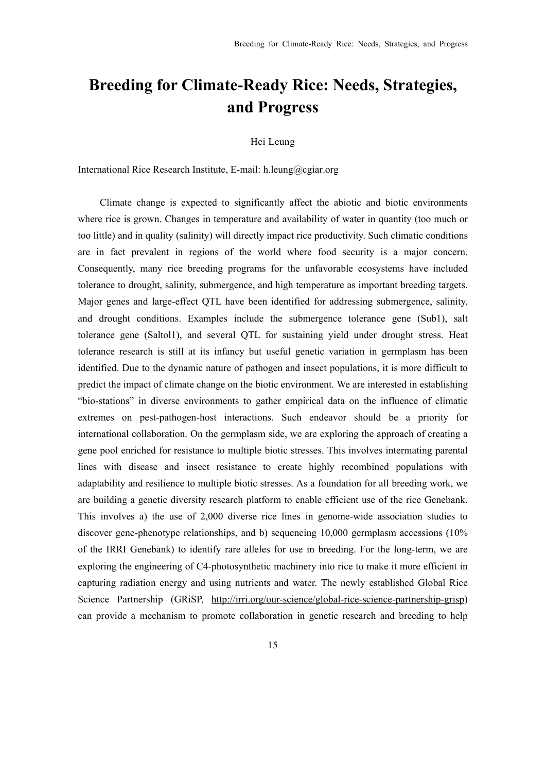## **Breeding for Climate-Ready Rice: Needs, Strategies, and Progress**

## Hei Leung

International Rice Research Institute, E-mail: h.leung@cgiar.org

 Climate change is expected to significantly affect the abiotic and biotic environments where rice is grown. Changes in temperature and availability of water in quantity (too much or too little) and in quality (salinity) will directly impact rice productivity. Such climatic conditions are in fact prevalent in regions of the world where food security is a major concern. Consequently, many rice breeding programs for the unfavorable ecosystems have included tolerance to drought, salinity, submergence, and high temperature as important breeding targets. Major genes and large-effect QTL have been identified for addressing submergence, salinity, and drought conditions. Examples include the submergence tolerance gene (Sub1), salt tolerance gene (Saltol1), and several QTL for sustaining yield under drought stress. Heat tolerance research is still at its infancy but useful genetic variation in germplasm has been identified. Due to the dynamic nature of pathogen and insect populations, it is more difficult to predict the impact of climate change on the biotic environment. We are interested in establishing "bio-stations" in diverse environments to gather empirical data on the influence of climatic extremes on pest-pathogen-host interactions. Such endeavor should be a priority for international collaboration. On the germplasm side, we are exploring the approach of creating a gene pool enriched for resistance to multiple biotic stresses. This involves intermating parental lines with disease and insect resistance to create highly recombined populations with adaptability and resilience to multiple biotic stresses. As a foundation for all breeding work, we are building a genetic diversity research platform to enable efficient use of the rice Genebank. This involves a) the use of 2,000 diverse rice lines in genome-wide association studies to discover gene-phenotype relationships, and b) sequencing 10,000 germplasm accessions (10% of the IRRI Genebank) to identify rare alleles for use in breeding. For the long-term, we are exploring the engineering of C4-photosynthetic machinery into rice to make it more efficient in capturing radiation energy and using nutrients and water. The newly established Global Rice Science Partnership (GRiSP, http://irri.org/our-science/global-rice-science-partnership-grisp) can provide a mechanism to promote collaboration in genetic research and breeding to help